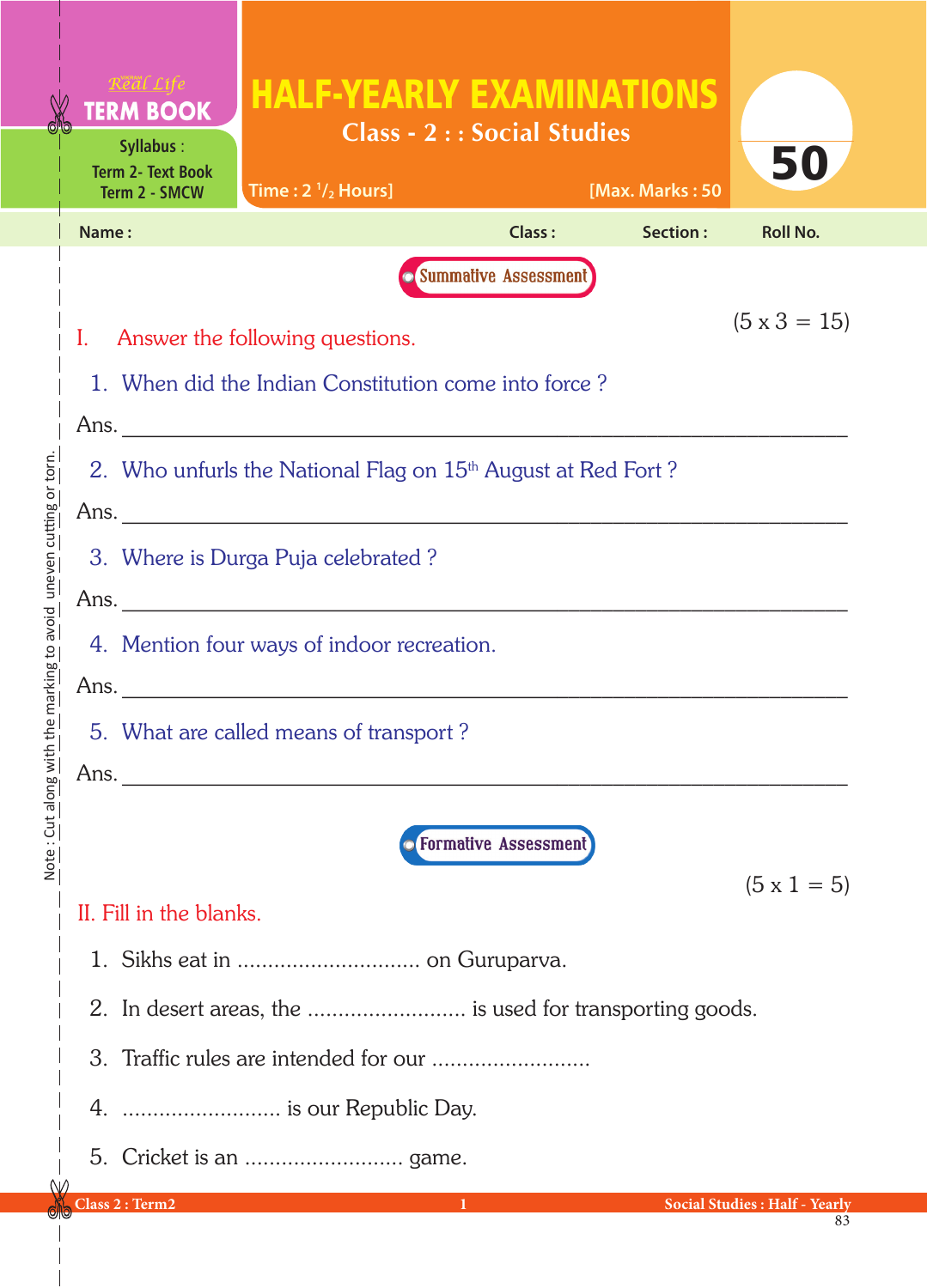| <b>TERM BOOK</b>                                                         | <b>HALF-YEARLY EXAMINATIONS</b>        |                                   |                 |                                      |  |  |  |
|--------------------------------------------------------------------------|----------------------------------------|-----------------------------------|-----------------|--------------------------------------|--|--|--|
| <b>Syllabus:</b><br><b>Term 2- Text Book</b><br>Term 2 - SMCW            | Time: $2\frac{1}{2}$ Hours]            | <b>Class - 2:: Social Studies</b> | [Max. Marks: 50 | 50                                   |  |  |  |
| Name:                                                                    |                                        | <b>Class:</b>                     | Section:        | <b>Roll No.</b>                      |  |  |  |
|                                                                          |                                        | <b>O</b> Summative Assessment     |                 |                                      |  |  |  |
|                                                                          | I. Answer the following questions.     |                                   |                 | $(5 \times 3 = 15)$                  |  |  |  |
| 1. When did the Indian Constitution come into force?                     |                                        |                                   |                 |                                      |  |  |  |
|                                                                          |                                        |                                   |                 |                                      |  |  |  |
| 2. Who unfurls the National Flag on 15 <sup>th</sup> August at Red Fort? |                                        |                                   |                 |                                      |  |  |  |
|                                                                          |                                        |                                   |                 |                                      |  |  |  |
| 3. Where is Durga Puja celebrated?                                       |                                        |                                   |                 |                                      |  |  |  |
|                                                                          |                                        |                                   |                 |                                      |  |  |  |
| 4. Mention four ways of indoor recreation.                               |                                        |                                   |                 |                                      |  |  |  |
|                                                                          | Ans.                                   |                                   |                 |                                      |  |  |  |
|                                                                          | 5. What are called means of transport? |                                   |                 |                                      |  |  |  |
| Ans.                                                                     |                                        |                                   |                 |                                      |  |  |  |
|                                                                          |                                        | <b>• Formative Assessment</b>     |                 |                                      |  |  |  |
|                                                                          |                                        |                                   |                 | $(5 \times 1 = 5)$                   |  |  |  |
| II. Fill in the blanks.                                                  |                                        |                                   |                 |                                      |  |  |  |
|                                                                          |                                        |                                   |                 |                                      |  |  |  |
| 2. In desert areas, the  is used for transporting goods.                 |                                        |                                   |                 |                                      |  |  |  |
|                                                                          |                                        |                                   |                 |                                      |  |  |  |
|                                                                          | 4.  is our Republic Day.               |                                   |                 |                                      |  |  |  |
|                                                                          |                                        |                                   |                 |                                      |  |  |  |
| Class 2 : Term2                                                          |                                        | $\bf{1}$                          |                 | <b>Social Studies: Half - Yearly</b> |  |  |  |

ſ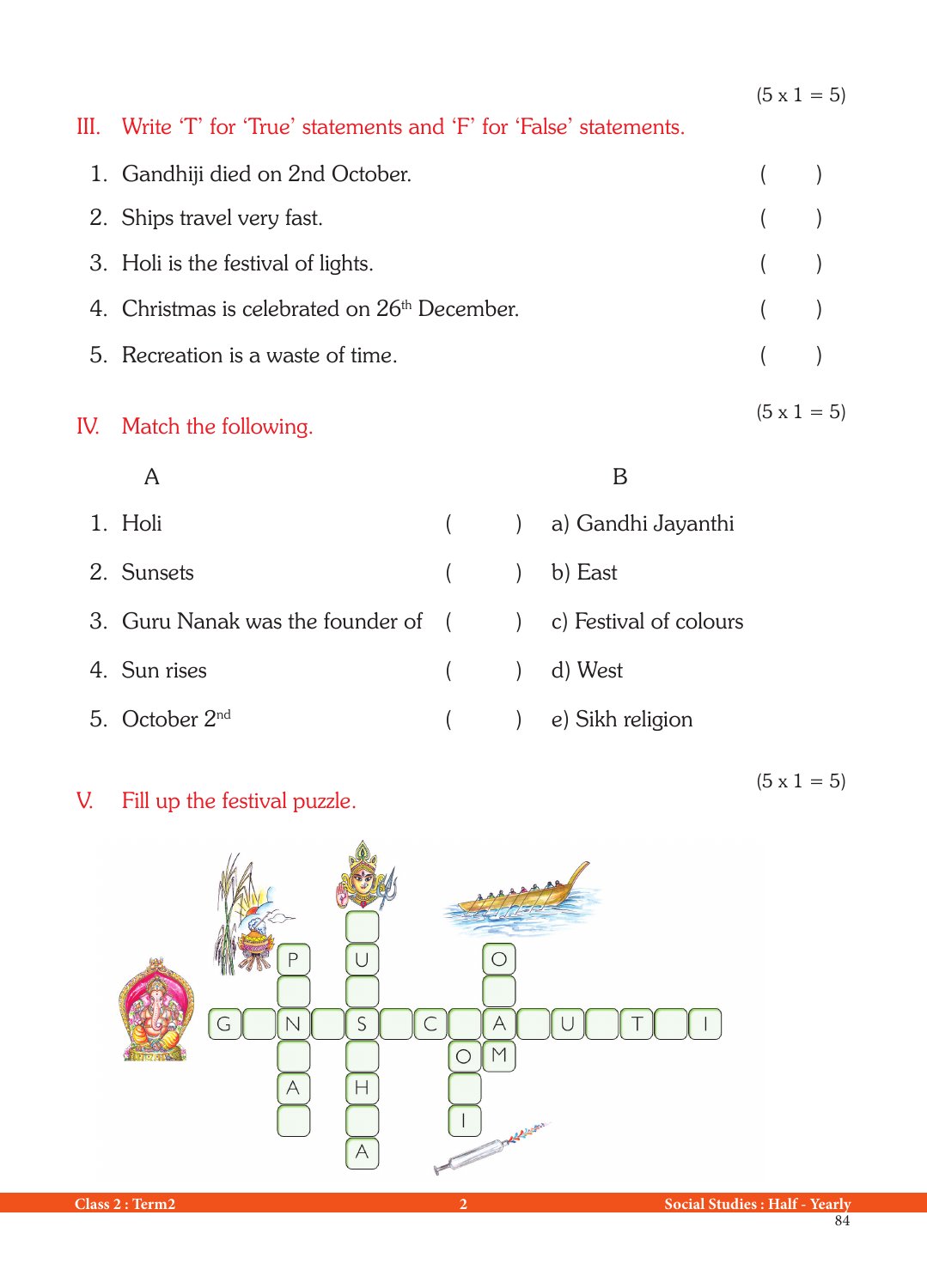$(5 \times 1 = 5)$ 

 $(5 \times 1 = 5)$ 

## III. Write 'T' for 'True' statements and 'F' for 'False' statements.

| 1. Gandhiji died on 2nd October.                         |       |  |
|----------------------------------------------------------|-------|--|
| 2. Ships travel very fast.                               | $($ ) |  |
| 3. Holi is the festival of lights.                       | (     |  |
| 4. Christmas is celebrated on 26 <sup>th</sup> December. | (     |  |
| 5. Recreation is a waste of time.                        | (     |  |
|                                                          |       |  |

## IV. Match the following.

A B

- 1. Holi ( ) a) Gandhi Jayanthi 2. Sunsets ( ) b) East 3. Guru Nanak was the founder of ( ) c) Festival of colours 4. Sun rises ( ) d) West 5. October 2nd ( ) e) Sikh religion
- V. Fill up the festival puzzle.

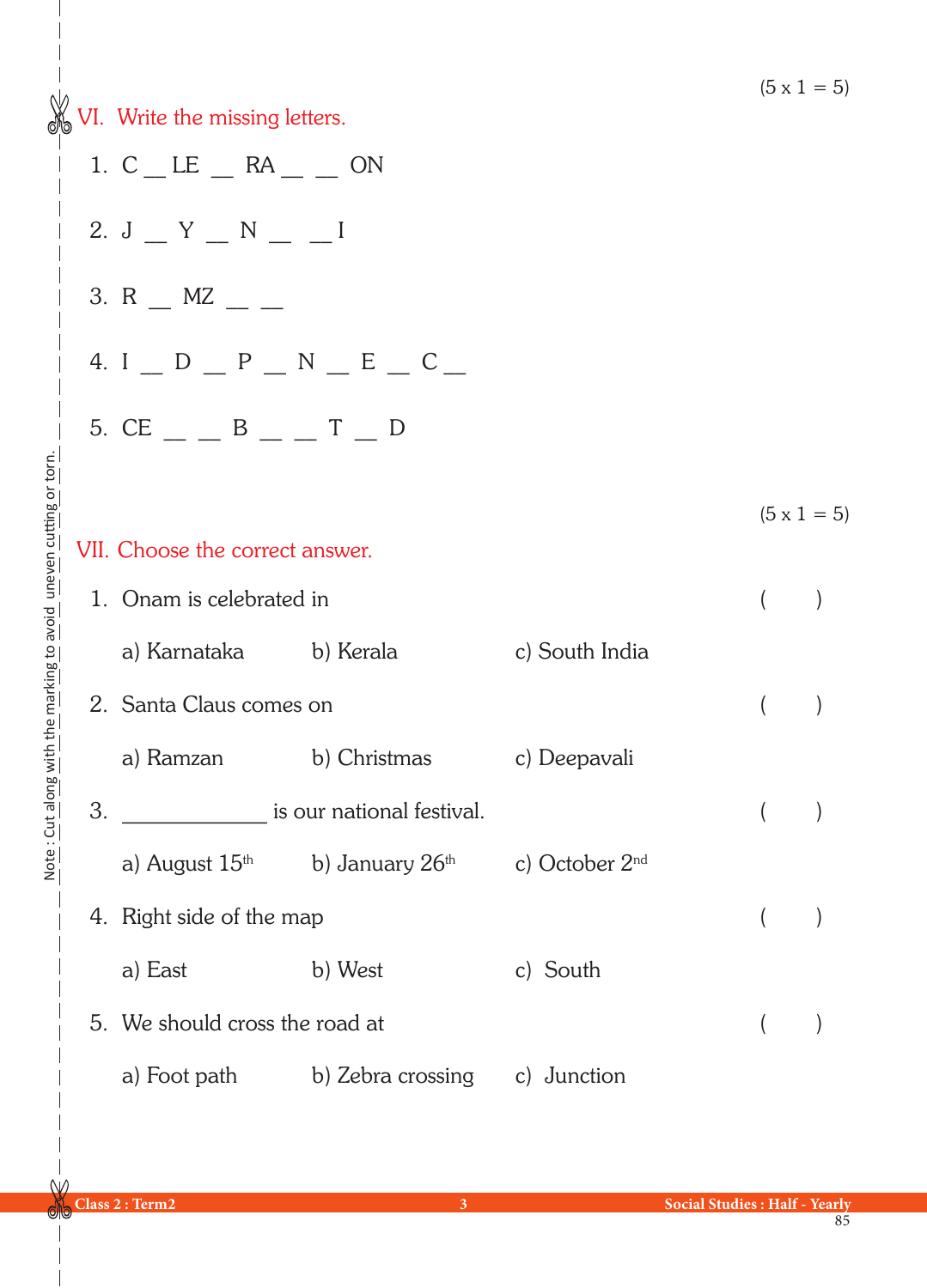VI. Write the missing letters. VII. Choose the correct answer. 1. Onam is celebrated in ( ) a) Karnataka b) Kerala c) South India 2. Santa Claus comes on ( ) a) Ramzan b) Christmas c) Deepavali 3. \_\_\_\_\_\_\_\_\_\_\_\_\_\_\_\_\_\_\_\_ is our national festival.  $($ a) August  $15<sup>th</sup>$  b) January  $26<sup>th</sup>$  c) October  $2<sup>nd</sup>$ 4. Right side of the map ( ) a) East b) West c) South 5. We should cross the road at ( ) a) Foot path b) Zebra crossing c) Junction  $(5 \times 1 = 5)$  $(5 \times 1 = 5)$ 1.  $C$   $LE$   $AR$   $\_$   $ON$ 2. J  $Y$   $N$   $N$ 3. R  $\_$  MZ  $\_$ 4. I  $D$   $D$   $P$   $N$   $E$   $C$ 5. CE  $-$  B  $-$  T  $-$  D